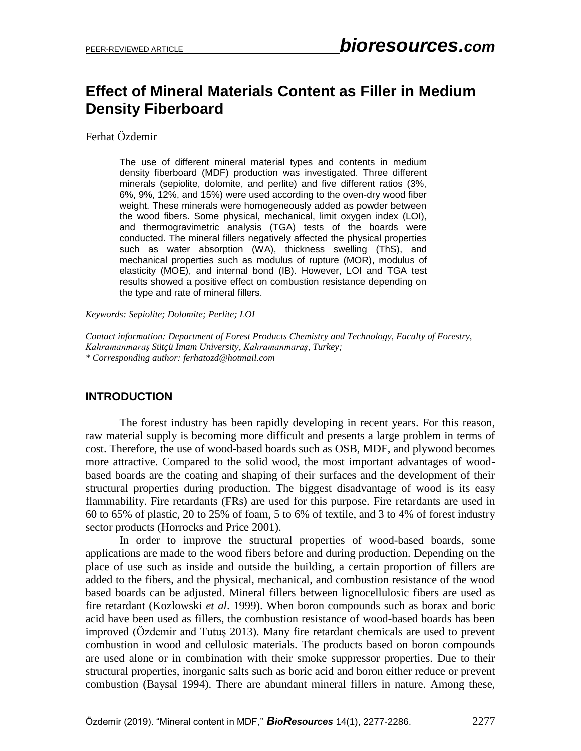# **Effect of Mineral Materials Content as Filler in Medium Density Fiberboard**

Ferhat Özdemir

The use of different mineral material types and contents in medium density fiberboard (MDF) production was investigated. Three different minerals (sepiolite, dolomite, and perlite) and five different ratios (3%, 6%, 9%, 12%, and 15%) were used according to the oven-dry wood fiber weight. These minerals were homogeneously added as powder between the wood fibers. Some physical, mechanical, limit oxygen index (LOI), and thermogravimetric analysis (TGA) tests of the boards were conducted. The mineral fillers negatively affected the physical properties such as water absorption (WA), thickness swelling (ThS), and mechanical properties such as modulus of rupture (MOR), modulus of elasticity (MOE), and internal bond (IB). However, LOI and TGA test results showed a positive effect on combustion resistance depending on the type and rate of mineral fillers.

*Keywords: Sepiolite; Dolomite; Perlite; LOI*

*Contact information: Department of Forest Products Chemistry and Technology, Faculty of Forestry, Kahramanmaraş Sütçü Imam University, Kahramanmaraş, Turkey; \* Corresponding author: ferhatozd@hotmail.com*

# **INTRODUCTION**

The forest industry has been rapidly developing in recent years. For this reason, raw material supply is becoming more difficult and presents a large problem in terms of cost. Therefore, the use of wood-based boards such as OSB, MDF, and plywood becomes more attractive. Compared to the solid wood, the most important advantages of woodbased boards are the coating and shaping of their surfaces and the development of their structural properties during production. The biggest disadvantage of wood is its easy flammability. Fire retardants (FRs) are used for this purpose. Fire retardants are used in 60 to 65% of plastic, 20 to 25% of foam, 5 to 6% of textile, and 3 to 4% of forest industry sector products (Horrocks and Price 2001).

In order to improve the structural properties of wood-based boards, some applications are made to the wood fibers before and during production. Depending on the place of use such as inside and outside the building, a certain proportion of fillers are added to the fibers, and the physical, mechanical, and combustion resistance of the wood based boards can be adjusted. Mineral fillers between lignocellulosic fibers are used as fire retardant (Kozlowski *et al*. 1999). When boron compounds such as borax and boric acid have been used as fillers, the combustion resistance of wood-based boards has been improved (Özdemir and Tutuş 2013). Many fire retardant chemicals are used to prevent combustion in wood and cellulosic materials. The products based on boron compounds are used alone or in combination with their smoke suppressor properties. Due to their structural properties, inorganic salts such as boric acid and boron either reduce or prevent combustion (Baysal 1994). There are abundant mineral fillers in nature. Among these,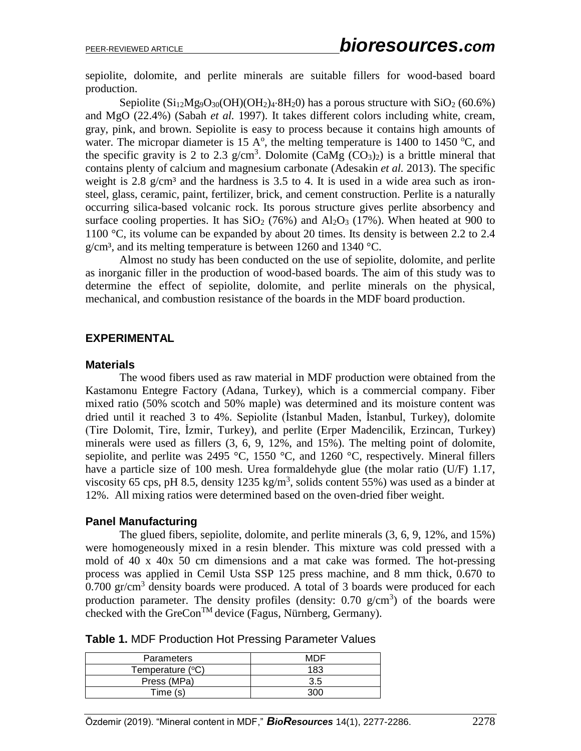sepiolite, dolomite, and perlite minerals are suitable fillers for wood-based board production.

Sepiolite  $(Si_{12}Mg_9O_{30}(OH)(OH_2)_4.8H_2O)$  has a porous structure with  $SiO_2$  (60.6%) and MgO (22.4%) (Sabah *et al.* 1997). It takes different colors including white, cream, gray, pink, and brown. Sepiolite is easy to process because it contains high amounts of water. The micropar diameter is 15 A $\degree$ , the melting temperature is 1400 to 1450  $\degree$ C, and the specific gravity is 2 to 2.3 g/cm<sup>3</sup>. Dolomite (CaMg  $(CO_3)_2$ ) is a brittle mineral that contains plenty of calcium and magnesium carbonate (Adesakin *et al.* 2013). The specific weight is 2.8  $g/cm<sup>3</sup>$  and the hardness is 3.5 to 4. It is used in a wide area such as ironsteel, glass, ceramic, paint, fertilizer, brick, and cement construction. Perlite is a naturally occurring silica-based volcanic rock. Its porous structure gives perlite absorbency and surface cooling properties. It has  $SiO_2$  (76%) and  $Al_2O_3$  (17%). When heated at 900 to 1100 °C, its volume can be expanded by about 20 times. Its density is between 2.2 to 2.4  $g/cm<sup>3</sup>$ , and its melting temperature is between 1260 and 1340 °C.

Almost no study has been conducted on the use of sepiolite, dolomite, and perlite as inorganic filler in the production of wood-based boards. The aim of this study was to determine the effect of sepiolite, dolomite, and perlite minerals on the physical, mechanical, and combustion resistance of the boards in the MDF board production.

### **EXPERIMENTAL**

#### **Materials**

The wood fibers used as raw material in MDF production were obtained from the Kastamonu Entegre Factory (Adana, Turkey), which is a commercial company. Fiber mixed ratio (50% scotch and 50% maple) was determined and its moisture content was dried until it reached 3 to 4%. Sepiolite (İstanbul Maden, İstanbul, Turkey), dolomite (Tire Dolomit, Tire, İzmir, Turkey), and perlite (Erper Madencilik, Erzincan, Turkey) minerals were used as fillers (3, 6, 9, 12%, and 15%). The melting point of dolomite, sepiolite, and perlite was 2495 °C, 1550 °C, and 1260 °C, respectively. Mineral fillers have a particle size of 100 mesh. Urea formaldehyde glue (the molar ratio (U/F) 1.17, viscosity 65 cps, pH 8.5, density 1235 kg/m<sup>3</sup>, solids content 55%) was used as a binder at 12%. All mixing ratios were determined based on the oven-dried fiber weight.

#### **Panel Manufacturing**

The glued fibers, sepiolite, dolomite, and perlite minerals (3, 6, 9, 12%, and 15%) were homogeneously mixed in a resin blender. This mixture was cold pressed with a mold of 40 x 40x 50 cm dimensions and a mat cake was formed. The hot-pressing process was applied in Cemil Usta SSP 125 press machine, and 8 mm thick, 0.670 to  $0.700$  gr/cm<sup>3</sup> density boards were produced. A total of 3 boards were produced for each production parameter. The density profiles (density:  $0.70$  g/cm<sup>3</sup>) of the boards were checked with the GreCon<sup>TM</sup> device (Fagus, Nürnberg, Germany).

| <b>Parameters</b> | MDE |
|-------------------|-----|
| Temperature (°C)  | 183 |
| Press (MPa)       | 3.5 |
| Time (s)          |     |

|  |  |  |  | <b>Table 1. MDF Production Hot Pressing Parameter Values</b> |  |
|--|--|--|--|--------------------------------------------------------------|--|
|--|--|--|--|--------------------------------------------------------------|--|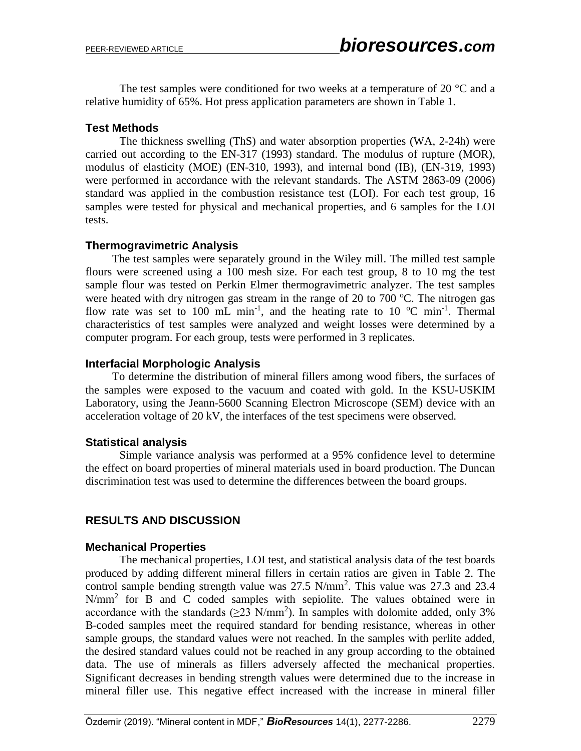The test samples were conditioned for two weeks at a temperature of 20  $^{\circ}$ C and a relative humidity of 65%. Hot press application parameters are shown in Table 1.

### **Test Methods**

The thickness swelling (ThS) and water absorption properties (WA, 2-24h) were carried out according to the EN-317 (1993) standard. The modulus of rupture (MOR), modulus of elasticity (MOE) (EN-310, 1993), and internal bond (IB), (EN-319, 1993) were performed in accordance with the relevant standards. The ASTM 2863-09 (2006) standard was applied in the combustion resistance test (LOI). For each test group, 16 samples were tested for physical and mechanical properties, and 6 samples for the LOI tests.

### **Thermogravimetric Analysis**

The test samples were separately ground in the Wiley mill. The milled test sample flours were screened using a 100 mesh size. For each test group, 8 to 10 mg the test sample flour was tested on Perkin Elmer thermogravimetric analyzer. The test samples were heated with dry nitrogen gas stream in the range of 20 to 700  $\degree$ C. The nitrogen gas flow rate was set to 100 mL min<sup>-1</sup>, and the heating rate to 10  $^{\circ}$ C min<sup>-1</sup>. Thermal characteristics of test samples were analyzed and weight losses were determined by a computer program. For each group, tests were performed in 3 replicates.

### **Interfacial Morphologic Analysis**

To determine the distribution of mineral fillers among wood fibers, the surfaces of the samples were exposed to the vacuum and coated with gold. In the KSU-USKIM Laboratory, using the Jeann-5600 Scanning Electron Microscope (SEM) device with an acceleration voltage of 20 kV, the interfaces of the test specimens were observed.

# **Statistical analysis**

Simple variance analysis was performed at a 95% confidence level to determine the effect on board properties of mineral materials used in board production. The Duncan discrimination test was used to determine the differences between the board groups.

# **RESULTS AND DISCUSSION**

### **Mechanical Properties**

The mechanical properties, LOI test, and statistical analysis data of the test boards produced by adding different mineral fillers in certain ratios are given in Table 2. The control sample bending strength value was 27.5 N/mm<sup>2</sup>. This value was 27.3 and 23.4  $N/mm<sup>2</sup>$  for B and C coded samples with sepiolite. The values obtained were in accordance with the standards  $(\geq 23 \text{ N/mm}^2)$ . In samples with dolomite added, only 3% B-coded samples meet the required standard for bending resistance, whereas in other sample groups, the standard values were not reached. In the samples with perlite added, the desired standard values could not be reached in any group according to the obtained data. The use of minerals as fillers adversely affected the mechanical properties. Significant decreases in bending strength values were determined due to the increase in mineral filler use. This negative effect increased with the increase in mineral filler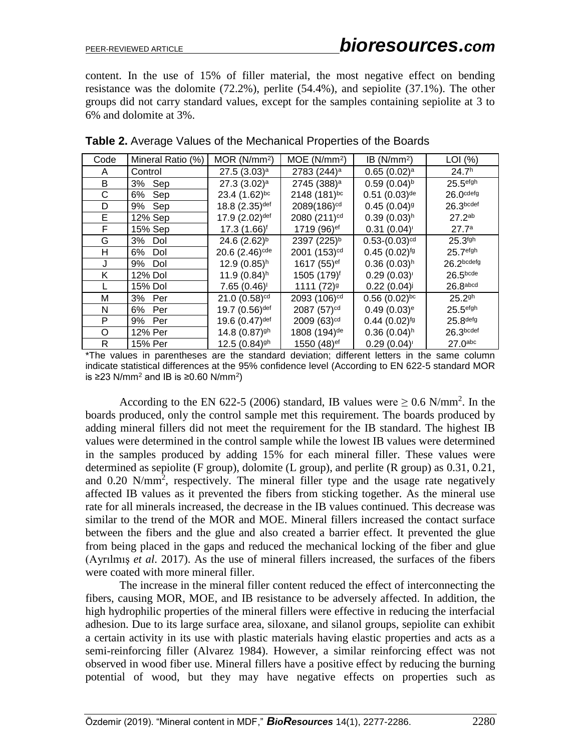content. In the use of 15% of filler material, the most negative effect on bending resistance was the dolomite (72.2%), perlite (54.4%), and sepiolite (37.1%). The other groups did not carry standard values, except for the samples containing sepiolite at 3 to 6% and dolomite at 3%.

| Code | Mineral Ratio (%) | MOR (N/mm <sup>2</sup> )     | MOE(N/mm <sup>2</sup> )  | IB $(N/mm2)$                | $LOI$ (%)             |
|------|-------------------|------------------------------|--------------------------|-----------------------------|-----------------------|
| A    | Control           | $27.5(3.03)^a$               | 2783 (244) <sup>a</sup>  | $0.65(0.02)^a$              | 24.7 <sup>h</sup>     |
| B    | 3%<br>Sep         | 27.3 $(3.02)^a$              | 2745 (388) <sup>a</sup>  | $0.59(0.04)^{b}$            | 25.5 <sup>efgh</sup>  |
| C    | 6%<br>Sep         | $23.4(1.62)$ <sub>bc</sub>   | 2148 (181)bc             | $0.51(0.03)$ <sup>de</sup>  | $26.0$ cdefg          |
| D    | 9%<br>Sep         | 18.8 (2.35) def              | 2089(186) <sup>cd</sup>  | $0.45(0.04)$ <sup>g</sup>   | 26.3 <sub>bcdef</sub> |
| E.   | 12% Sep           | 17.9 (2.02) def              | 2080 (211) <sup>cd</sup> | $0.39(0.03)$ <sup>h</sup>   | 27.2 <sup>ab</sup>    |
| F    | 15% Sep           | 17.3 (1.66) <sup>f</sup>     | 1719 (96) <sup>ef</sup>  | 0.31(0.04)                  | 27.7a                 |
| G    | 3%<br>Dol         | 24.6 $(2.62)^{b}$            | 2397 (225) <sup>b</sup>  | $0.53-(0.03)$ <sup>cd</sup> | $25.3$ fgh            |
| н    | 6%<br>Dol         | 20.6 $(2.46)$ <sup>cde</sup> | 2001 (153) <sup>cd</sup> | $0.45(0.02)^{fg}$           | 25.7 <sup>efgh</sup>  |
| J    | 9%<br>Dol         | $12.9(0.85)$ <sup>h</sup>    | 1617 (55) <sup>ef</sup>  | $0.36(0.03)$ <sup>h</sup>   | 26.2bcdefg            |
| K    | 12% Dol           | 11.9 $(0.84)$ <sup>h</sup>   | 1505 (179) <sup>f</sup>  | $0.29(0.03)^{1}$            | 26.5 <sub>bcde</sub>  |
|      | 15% Dol           | 7.65(0.46)                   | $1111(72)$ <sup>g</sup>  | 0.22(0.04)                  | $26.8$ abcd           |
| Μ    | 3% Per            | 21.0 $(0.58)$ <sup>cd</sup>  | 2093 (106) <sup>cd</sup> | $0.56(0.02)$ bc             | 25.29h                |
| N    | 6%<br>Per         | 19.7 (0.56) def              | 2087 (57) <sup>cd</sup>  | $0.49(0.03)$ <sup>e</sup>   | 25.5 <sup>efgh</sup>  |
| P    | 9% Per            | 19.6 (0.47) def              | 2009 (63) <sup>cd</sup>  | $0.44(0.02)^{fg}$           | 25.8 <sup>defg</sup>  |
| O    | 12% Per           | 14.8 $(0.87)$ <sup>gh</sup>  | 1808 (194) <sup>de</sup> | $0.36(0.04)$ <sup>h</sup>   | 26.3 <sub>bcdef</sub> |
| R    | 15% Per           | 12.5 $(0.84)$ <sup>gh</sup>  | 1550 (48) <sup>ef</sup>  | 0.29(0.04)                  | 27.0 <sup>abc</sup>   |

**Table 2.** Average Values of the Mechanical Properties of the Boards

\*The values in parentheses are the standard deviation; different letters in the same column indicate statistical differences at the 95% confidence level (According to EN 622-5 standard MOR is ≥23 N/mm<sup>2</sup> and IB is ≥0.60 N/mm<sup>2</sup>)

According to the EN 622-5 (2006) standard, IB values were  $\geq 0.6$  N/mm<sup>2</sup>. In the boards produced, only the control sample met this requirement. The boards produced by adding mineral fillers did not meet the requirement for the IB standard. The highest IB values were determined in the control sample while the lowest IB values were determined in the samples produced by adding 15% for each mineral filler. These values were determined as sepiolite (F group), dolomite (L group), and perlite (R group) as 0.31, 0.21, and 0.20 N/mm<sup>2</sup>, respectively. The mineral filler type and the usage rate negatively affected IB values as it prevented the fibers from sticking together. As the mineral use rate for all minerals increased, the decrease in the IB values continued. This decrease was similar to the trend of the MOR and MOE. Mineral fillers increased the contact surface between the fibers and the glue and also created a barrier effect. It prevented the glue from being placed in the gaps and reduced the mechanical locking of the fiber and glue (Ayrılmış *et al*. 2017). As the use of mineral fillers increased, the surfaces of the fibers were coated with more mineral filler.

The increase in the mineral filler content reduced the effect of interconnecting the fibers, causing MOR, MOE, and IB resistance to be adversely affected. In addition, the high hydrophilic properties of the mineral fillers were effective in reducing the interfacial adhesion. Due to its large surface area, siloxane, and silanol groups, sepiolite can exhibit a certain activity in its use with plastic materials having elastic properties and acts as a semi-reinforcing filler (Alvarez 1984). However, a similar reinforcing effect was not observed in wood fiber use. Mineral fillers have a positive effect by reducing the burning potential of wood, but they may have negative effects on properties such as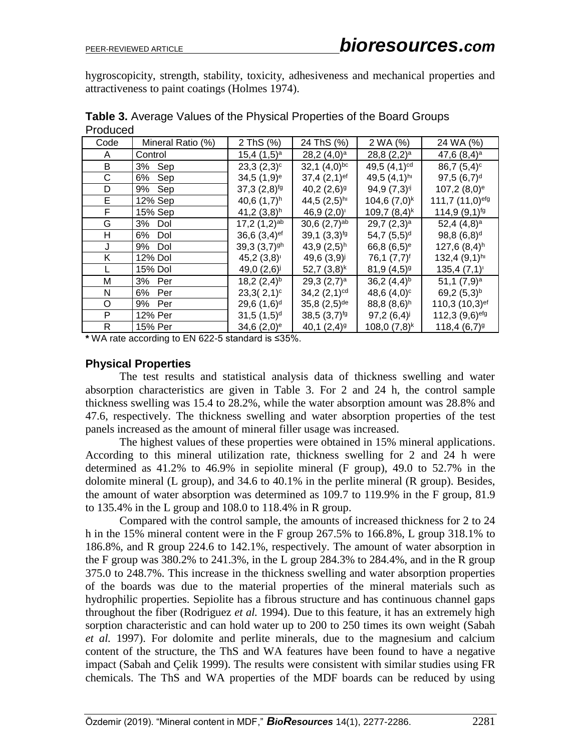hygroscopicity, strength, stability, toxicity, adhesiveness and mechanical properties and attractiveness to paint coatings (Holmes 1974).

| uuvu         |                   |                            |                            |                            |                             |
|--------------|-------------------|----------------------------|----------------------------|----------------------------|-----------------------------|
| Code         | Mineral Ratio (%) | 2 ThS (%)                  | 24 ThS (%)                 | 2 WA (%)                   | 24 WA (%)                   |
| A            | Control           | $15,4(1,5)^a$              | 28,2 $(4,0)$ <sup>a</sup>  | 28,8 $(2,2)^a$             | 47,6 $(8,4)$ <sup>a</sup>   |
| B            | Sep<br>3%         | $23,3(2,3)^c$              | 32,1 $(4,0)$ bc            | 49,5 $(4,1)$ <sup>cd</sup> | $86,7(5,4)^c$               |
| С            | Sep<br>6%         | $34,5(1,9)$ <sup>e</sup>   | $37,4(2,1)$ <sup>ef</sup>  | 49,5 $(4,1)$ hi            | 97,5(6,7) <sup>d</sup>      |
| D            | 9% Sep            | $37,3(2,8)^{fg}$           | 40,2 $(2,6)$ <sup>g</sup>  | $94,9(7,3)^{ij}$           | $107,2(8,0)$ <sup>e</sup>   |
| Е            | 12% Sep           | 40,6 $(1,7)^h$             | 44,5 $(2,5)$ <sup>hi</sup> | 104,6(7,0) <sup>k</sup>    | 111,7 (11,0) <sup>efg</sup> |
| F            | 15% Sep           | 41,2 $(3,8)$ <sup>h</sup>  | 46,9(2,0)                  | 109,7 $(8,4)^k$            | $114,9(9,1)^{fg}$           |
| G            | Dol<br>3%         | $17,2(1,2)$ <sup>ab</sup>  | $30,6(2,7)$ <sup>ab</sup>  | 29,7 $(2,3)$ <sup>a</sup>  | 52,4 $(4,8)^a$              |
| Н            | 6%<br>Dol         | 36,6 $(3,4)$ ef            | 39,1(3,3) <sup>19</sup>    | 54,7(5,5) <sup>d</sup>     | $98,8(6,8)^d$               |
| J            | 9%<br>Dol         | 39,3 $(3,7)$ <sup>gh</sup> | 43,9 $(2,5)$ <sup>h</sup>  | 66,8 $(6,5)^e$             | $127,6(8,4)$ <sup>h</sup>   |
| Κ            | 12% Dol           | $45,2(3,8)$ '              | 49,6 $(3,9)^{j}$           | 76,1 (7,7) <sup>f</sup>    | $132,4(9,1)$ hi             |
|              | 15% Dol           | 49,0 $(2,6)^{j}$           | 52,7(3,8) <sup>k</sup>     | $81,9(4,5)$ <sup>g</sup>   | 135,4(7,1)                  |
| М            | 3% Per            | 18,2(2,4) <sup>b</sup>     | 29,3 $(2,7)$ <sup>a</sup>  | 36,2 $(4,4)^{b}$           | 51,1 $(7,9)^a$              |
| N            | 6%<br>Per         | $23,3(2,1)^c$              | 34,2 $(2,1)$ <sup>cd</sup> | 48,6 $(4,0)^c$             | 69,2 $(5,3)$ <sup>b</sup>   |
| O            | 9% Per            | $29,6(1,6)^d$              | $35,8(2,5)$ <sup>de</sup>  | 88,8(8,6) <sup>h</sup>     | 110,3 (10,3) <sup>ef</sup>  |
| P            | 12% Per           | 31,5(1,5) <sup>d</sup>     | 38,5(3,7) <sup>19</sup>    | 97,2(6,4)                  | 112,3 (9,6)efg              |
| $\mathsf{R}$ | 15% Per           | 34,6 $(2,0)$ <sup>e</sup>  | 40,1 $(2,4)$ <sup>9</sup>  | 108,0 $(7,8)^k$            | $118,4(6,7)^{9}$            |

**Table 3.** Average Values of the Physical Properties of the Board Groups Produced

**\*** WA rate according to EN 622-5 standard is ≤35%.

### **Physical Properties**

The test results and statistical analysis data of thickness swelling and water absorption characteristics are given in Table 3. For 2 and 24 h, the control sample thickness swelling was 15.4 to 28.2%, while the water absorption amount was 28.8% and 47.6, respectively. The thickness swelling and water absorption properties of the test panels increased as the amount of mineral filler usage was increased.

The highest values of these properties were obtained in 15% mineral applications. According to this mineral utilization rate, thickness swelling for 2 and 24 h were determined as 41.2% to 46.9% in sepiolite mineral (F group), 49.0 to 52.7% in the dolomite mineral (L group), and 34.6 to 40.1% in the perlite mineral (R group). Besides, the amount of water absorption was determined as 109.7 to 119.9% in the F group, 81.9 to 135.4% in the L group and 108.0 to 118.4% in R group.

Compared with the control sample, the amounts of increased thickness for 2 to 24 h in the 15% mineral content were in the F group 267.5% to 166.8%, L group 318.1% to 186.8%, and R group 224.6 to 142.1%, respectively. The amount of water absorption in the F group was 380.2% to 241.3%, in the L group 284.3% to 284.4%, and in the R group 375.0 to 248.7%. This increase in the thickness swelling and water absorption properties of the boards was due to the material properties of the mineral materials such as hydrophilic properties. Sepiolite has a fibrous structure and has continuous channel gaps throughout the fiber (Rodriguez *et al.* 1994). Due to this feature, it has an extremely high sorption characteristic and can hold water up to 200 to 250 times its own weight (Sabah *et al.* 1997). For dolomite and perlite minerals, due to the magnesium and calcium content of the structure, the ThS and WA features have been found to have a negative impact (Sabah and Çelik 1999). The results were consistent with similar studies using FR chemicals. The ThS and WA properties of the MDF boards can be reduced by using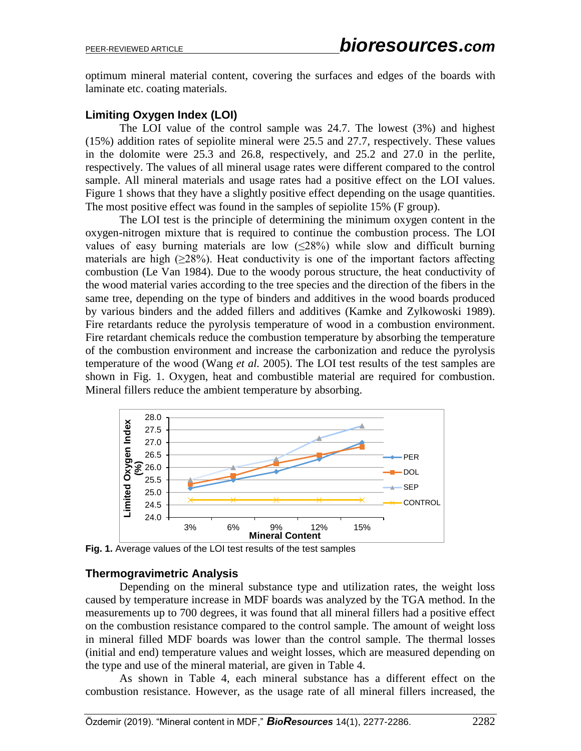optimum mineral material content, covering the surfaces and edges of the boards with laminate etc. coating materials.

# **Limiting Oxygen Index (LOI)**

The LOI value of the control sample was 24.7. The lowest (3%) and highest (15%) addition rates of sepiolite mineral were 25.5 and 27.7, respectively. These values in the dolomite were 25.3 and 26.8, respectively, and 25.2 and 27.0 in the perlite, respectively. The values of all mineral usage rates were different compared to the control sample. All mineral materials and usage rates had a positive effect on the LOI values. Figure 1 shows that they have a slightly positive effect depending on the usage quantities. The most positive effect was found in the samples of sepiolite 15% (F group).

The LOI test is the principle of determining the minimum oxygen content in the oxygen-nitrogen mixture that is required to continue the combustion process. The LOI values of easy burning materials are low  $(\leq 28\%)$  while slow and difficult burning materials are high  $(\geq 28\%)$ . Heat conductivity is one of the important factors affecting combustion (Le Van 1984). Due to the woody porous structure, the heat conductivity of the wood material varies according to the tree species and the direction of the fibers in the same tree, depending on the type of binders and additives in the wood boards produced by various binders and the added fillers and additives (Kamke and Zylkowoski 1989). Fire retardants reduce the pyrolysis temperature of wood in a combustion environment. Fire retardant chemicals reduce the combustion temperature by absorbing the temperature of the combustion environment and increase the carbonization and reduce the pyrolysis temperature of the wood (Wang *et al.* 2005). The LOI test results of the test samples are shown in Fig. 1. Oxygen, heat and combustible material are required for combustion. Mineral fillers reduce the ambient temperature by absorbing.



**Fig. 1.** Average values of the LOI test results of the test samples

### **Thermogravimetric Analysis**

Depending on the mineral substance type and utilization rates, the weight loss caused by temperature increase in MDF boards was analyzed by the TGA method. In the measurements up to 700 degrees, it was found that all mineral fillers had a positive effect on the combustion resistance compared to the control sample. The amount of weight loss in mineral filled MDF boards was lower than the control sample. The thermal losses (initial and end) temperature values and weight losses, which are measured depending on the type and use of the mineral material, are given in Table 4.

As shown in Table 4, each mineral substance has a different effect on the combustion resistance. However, as the usage rate of all mineral fillers increased, the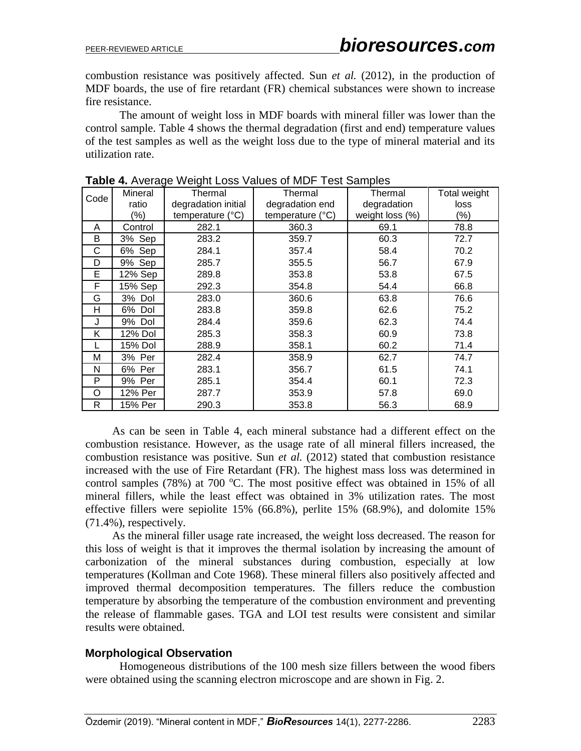combustion resistance was positively affected. Sun *et al.* (2012), in the production of MDF boards, the use of fire retardant (FR) chemical substances were shown to increase fire resistance.

The amount of weight loss in MDF boards with mineral filler was lower than the control sample. Table 4 shows the thermal degradation (first and end) temperature values of the test samples as well as the weight loss due to the type of mineral material and its utilization rate.

| Code | Mineral | Thermal                   | Thermal                   | Thermal         | Total weight |
|------|---------|---------------------------|---------------------------|-----------------|--------------|
|      | ratio   | degradation initial       | degradation end           | degradation     | loss         |
|      | $(\%)$  | temperature $(^{\circ}C)$ | temperature $(^{\circ}C)$ | weight loss (%) | $(\% )$      |
| A    | Control | 282.1                     | 360.3                     | 69.1            | 78.8         |
| B    | 3% Sep  | 283.2                     | 359.7                     | 60.3            | 72.7         |
| C    | 6% Sep  | 284.1                     | 357.4                     | 58.4            | 70.2         |
| D    | 9% Sep  | 285.7                     | 355.5                     | 56.7            | 67.9         |
| Е    | 12% Sep | 289.8                     | 353.8                     | 53.8            | 67.5         |
| F    | 15% Sep | 292.3                     | 354.8                     | 54.4            | 66.8         |
| G    | 3% Dol  | 283.0                     | 360.6                     | 63.8            | 76.6         |
| Н    | 6% Dol  | 283.8                     | 359.8                     | 62.6            | 75.2         |
| J    | 9% Dol  | 284.4                     | 359.6                     | 62.3            | 74.4         |
| Κ    | 12% Dol | 285.3                     | 358.3                     | 60.9            | 73.8         |
|      | 15% Dol | 288.9                     | 358.1                     | 60.2            | 71.4         |
| M    | 3% Per  | 282.4                     | 358.9                     | 62.7            | 74.7         |
| N    | 6% Per  | 283.1                     | 356.7                     | 61.5            | 74.1         |
| P    | 9% Per  | 285.1                     | 354.4                     | 60.1            | 72.3         |
| O    | 12% Per | 287.7                     | 353.9                     | 57.8            | 69.0         |
| R    | 15% Per | 290.3                     | 353.8                     | 56.3            | 68.9         |

**Table 4.** Average Weight Loss Values of MDF Test Samples

As can be seen in Table 4, each mineral substance had a different effect on the combustion resistance. However, as the usage rate of all mineral fillers increased, the combustion resistance was positive. Sun *et al.* (2012) stated that combustion resistance increased with the use of Fire Retardant (FR). The highest mass loss was determined in control samples (78%) at 700  $^{\circ}$ C. The most positive effect was obtained in 15% of all mineral fillers, while the least effect was obtained in 3% utilization rates. The most effective fillers were sepiolite 15% (66.8%), perlite 15% (68.9%), and dolomite 15% (71.4%), respectively.

As the mineral filler usage rate increased, the weight loss decreased. The reason for this loss of weight is that it improves the thermal isolation by increasing the amount of carbonization of the mineral substances during combustion, especially at low temperatures (Kollman and Cote 1968). These mineral fillers also positively affected and improved thermal decomposition temperatures. The fillers reduce the combustion temperature by absorbing the temperature of the combustion environment and preventing the release of flammable gases. TGA and LOI test results were consistent and similar results were obtained.

### **Morphological Observation**

Homogeneous distributions of the 100 mesh size fillers between the wood fibers were obtained using the scanning electron microscope and are shown in Fig. 2.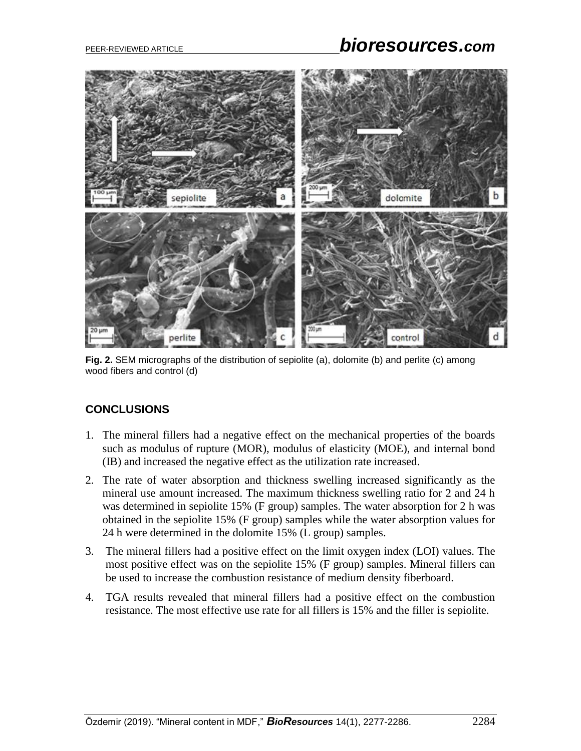# PEER-REVIEWED ARTICLE *bioresources.com*



**Fig. 2.** SEM micrographs of the distribution of sepiolite (a), dolomite (b) and perlite (c) among wood fibers and control (d)

# **CONCLUSIONS**

- 1. The mineral fillers had a negative effect on the mechanical properties of the boards such as modulus of rupture (MOR), modulus of elasticity (MOE), and internal bond (IB) and increased the negative effect as the utilization rate increased.
- 2. The rate of water absorption and thickness swelling increased significantly as the mineral use amount increased. The maximum thickness swelling ratio for 2 and 24 h was determined in sepiolite 15% (F group) samples. The water absorption for 2 h was obtained in the sepiolite 15% (F group) samples while the water absorption values for 24 h were determined in the dolomite 15% (L group) samples.
- 3. The mineral fillers had a positive effect on the limit oxygen index (LOI) values. The most positive effect was on the sepiolite 15% (F group) samples. Mineral fillers can be used to increase the combustion resistance of medium density fiberboard.
- 4. TGA results revealed that mineral fillers had a positive effect on the combustion resistance. The most effective use rate for all fillers is 15% and the filler is sepiolite.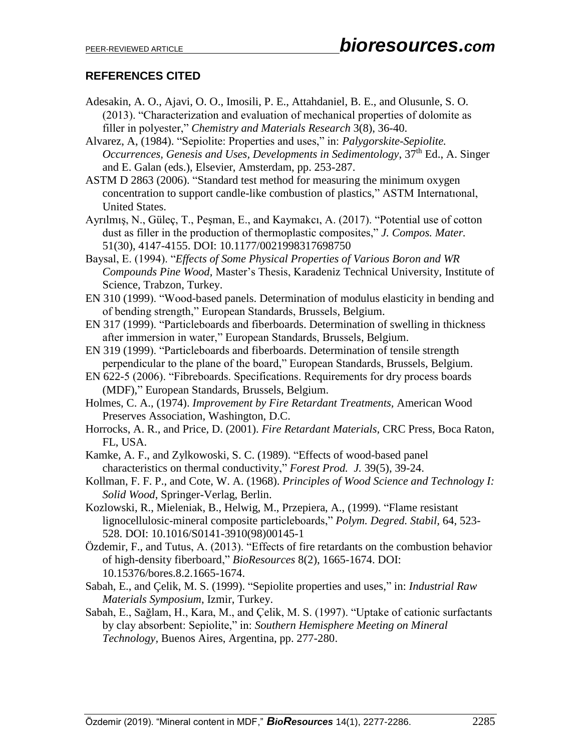# **REFERENCES CITED**

- Adesakin, A. O., Ajavi, O. O., Imosili, P. E., Attahdaniel, B. E., and Olusunle, S. O. (2013). "Characterization and evaluation of mechanical properties of dolomite as filler in polyester," *Chemistry and Materials Research* 3(8), 36-40.
- Alvarez, A, (1984). "Sepiolite: Properties and uses," in: *Palygorskite-Sepiolite. Occurrences, Genesis and Uses, Developments in Sedimentology, 37*<sup>th</sup> Ed., A. Singer and E. Galan (eds.), Elsevier, Amsterdam, pp. 253-287.
- ASTM D 2863 (2006). "Standard test method for measuring the minimum oxygen concentration to support candle-like combustion of plastics," ASTM Internatıonal, United States.
- Ayrılmış, N., Güleç, T., Peşman, E., and Kaymakcı, A. (2017). "Potential use of cotton dust as filler in the production of thermoplastic composites," *J. Compos. Mater.* 51(30), 4147-4155. DOI: 10.1177/0021998317698750
- Baysal, E. (1994). "*Effects of Some Physical Properties of Various Boron and WR Compounds Pine Wood,* Master's Thesis, Karadeniz Technical University, Institute of Science, Trabzon, Turkey.
- EN 310 (1999). "Wood-based panels. Determination of modulus elasticity in bending and of bending strength," European Standards, Brussels, Belgium.
- EN 317 (1999). "Particleboards and fiberboards. Determination of swelling in thickness after immersion in water," European Standards, Brussels, Belgium.
- EN 319 (1999). "Particleboards and fiberboards. Determination of tensile strength perpendicular to the plane of the board," European Standards, Brussels, Belgium.
- EN 622-5 (2006). "Fibreboards. Specifications. Requirements for dry process boards (MDF)," European Standards, Brussels, Belgium.
- Holmes, C. A., (1974). *Improvement by Fire Retardant Treatments,* American Wood Preserves Association, Washington, D.C.
- Horrocks, A. R., and Price, D. (2001). *Fire Retardant Materials,* CRC Press, Boca Raton, FL, USA.
- Kamke, A. F., and Zylkowoski, S. C. (1989). "Effects of wood-based panel characteristics on thermal conductivity," *Forest Prod. J.* 39(5), 39-24.
- Kollman, F. F. P., and Cote, W. A. (1968). *Principles of Wood Science and Technology I: Solid Wood*, Springer-Verlag, Berlin.
- Kozlowski, R., Mieleniak, B., Helwig, M., Przepiera, A., (1999). "Flame resistant lignocellulosic-mineral composite particleboards," *Polym. Degred. Stabil,* 64, 523- 528. [DOI: 10.1016/S0141-3910\(98\)00145-1](https://doi.org/10.1016/S0141-3910(98)00145-1)
- Özdemir, F., and Tutus, A. (2013). "Effects of fire retardants on the combustion behavior of high-density fiberboard," *BioResources* 8(2), 1665-1674. DOI: 10.15376/bores.8.2.1665-1674.
- Sabah, E., and Çelik, M. S. (1999). "Sepiolite properties and uses," in: *Industrial Raw Materials Symposium*, Izmir, Turkey.
- Sabah, E., Sağlam, H., Kara, M., and Çelik, M. S. (1997). "Uptake of cationic surfactants by clay absorbent: Sepiolite," in: *Southern Hemisphere Meeting on Mineral Technology,* Buenos Aires, Argentina, pp. 277-280.